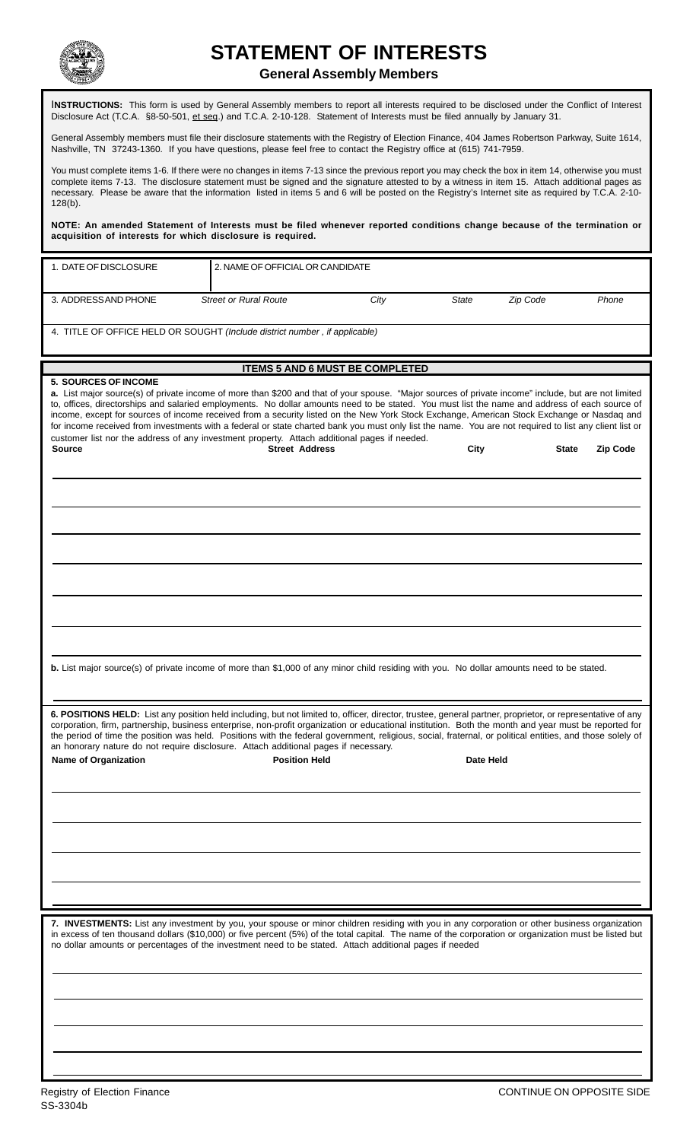

## **STATEMENT OF INTERESTS**

## **General Assembly Members**

I**NSTRUCTIONS:** This form is used by General Assembly members to report all interests required to be disclosed under the Conflict of Interest Disclosure Act (T.C.A. §8-50-501, et seq.) and T.C.A. 2-10-128. Statement of Interests must be filed annually by January 31.

General Assembly members must file their disclosure statements with the Registry of Election Finance, 404 James Robertson Parkway, Suite 1614, Nashville, TN 37243-1360. If you have questions, please feel free to contact the Registry office at (615) 741-7959.

You must complete items 1-6. If there were no changes in items 7-13 since the previous report you may check the box in item 14, otherwise you must complete items 7-13. The disclosure statement must be signed and the signature attested to by a witness in item 15. Attach additional pages as necessary. Please be aware that the information listed in items 5 and 6 will be posted on the Registry's Internet site as required by T.C.A. 2-10- 128(b).

**NOTE: An amended Statement of Interests must be filed whenever reported conditions change because of the termination or acquisition of interests for which disclosure is required.**

| 1. DATE OF DISCLOSURE                                                                                                                                                                                                                                                                                                                                                                                                                                                                                                                                                                                                                                                                                                                                                                                                       | 2. NAME OF OFFICIAL OR CANDIDATE       |      |           |          |       |
|-----------------------------------------------------------------------------------------------------------------------------------------------------------------------------------------------------------------------------------------------------------------------------------------------------------------------------------------------------------------------------------------------------------------------------------------------------------------------------------------------------------------------------------------------------------------------------------------------------------------------------------------------------------------------------------------------------------------------------------------------------------------------------------------------------------------------------|----------------------------------------|------|-----------|----------|-------|
| 3. ADDRESS AND PHONE                                                                                                                                                                                                                                                                                                                                                                                                                                                                                                                                                                                                                                                                                                                                                                                                        | <b>Street or Rural Route</b>           | City | State     | Zip Code | Phone |
| 4. TITLE OF OFFICE HELD OR SOUGHT (Include district number, if applicable)                                                                                                                                                                                                                                                                                                                                                                                                                                                                                                                                                                                                                                                                                                                                                  |                                        |      |           |          |       |
|                                                                                                                                                                                                                                                                                                                                                                                                                                                                                                                                                                                                                                                                                                                                                                                                                             |                                        |      |           |          |       |
|                                                                                                                                                                                                                                                                                                                                                                                                                                                                                                                                                                                                                                                                                                                                                                                                                             | <b>ITEMS 5 AND 6 MUST BE COMPLETED</b> |      |           |          |       |
| 5. SOURCES OF INCOME<br>a. List major source(s) of private income of more than \$200 and that of your spouse. "Major sources of private income" include, but are not limited<br>to, offices, directorships and salaried employments. No dollar amounts need to be stated. You must list the name and address of each source of<br>income, except for sources of income received from a security listed on the New York Stock Exchange, American Stock Exchange or Nasdaq and<br>for income received from investments with a federal or state charted bank you must only list the name. You are not required to list any client list or<br>customer list nor the address of any investment property. Attach additional pages if needed.<br><b>Street Address</b><br><b>Source</b><br>City<br><b>Zip Code</b><br><b>State</b> |                                        |      |           |          |       |
|                                                                                                                                                                                                                                                                                                                                                                                                                                                                                                                                                                                                                                                                                                                                                                                                                             |                                        |      |           |          |       |
|                                                                                                                                                                                                                                                                                                                                                                                                                                                                                                                                                                                                                                                                                                                                                                                                                             |                                        |      |           |          |       |
|                                                                                                                                                                                                                                                                                                                                                                                                                                                                                                                                                                                                                                                                                                                                                                                                                             |                                        |      |           |          |       |
|                                                                                                                                                                                                                                                                                                                                                                                                                                                                                                                                                                                                                                                                                                                                                                                                                             |                                        |      |           |          |       |
|                                                                                                                                                                                                                                                                                                                                                                                                                                                                                                                                                                                                                                                                                                                                                                                                                             |                                        |      |           |          |       |
| b. List major source(s) of private income of more than \$1,000 of any minor child residing with you. No dollar amounts need to be stated.                                                                                                                                                                                                                                                                                                                                                                                                                                                                                                                                                                                                                                                                                   |                                        |      |           |          |       |
| 6. POSITIONS HELD: List any position held including, but not limited to, officer, director, trustee, general partner, proprietor, or representative of any<br>corporation, firm, partnership, business enterprise, non-profit organization or educational institution. Both the month and year must be reported for<br>the period of time the position was held. Positions with the federal government, religious, social, fraternal, or political entities, and those solely of<br>an honorary nature do not require disclosure. Attach additional pages if necessary.                                                                                                                                                                                                                                                     |                                        |      |           |          |       |
| <b>Name of Organization</b>                                                                                                                                                                                                                                                                                                                                                                                                                                                                                                                                                                                                                                                                                                                                                                                                 | <b>Position Held</b>                   |      | Date Held |          |       |
|                                                                                                                                                                                                                                                                                                                                                                                                                                                                                                                                                                                                                                                                                                                                                                                                                             |                                        |      |           |          |       |
|                                                                                                                                                                                                                                                                                                                                                                                                                                                                                                                                                                                                                                                                                                                                                                                                                             |                                        |      |           |          |       |
|                                                                                                                                                                                                                                                                                                                                                                                                                                                                                                                                                                                                                                                                                                                                                                                                                             |                                        |      |           |          |       |
|                                                                                                                                                                                                                                                                                                                                                                                                                                                                                                                                                                                                                                                                                                                                                                                                                             |                                        |      |           |          |       |
| 7. INVESTMENTS: List any investment by you, your spouse or minor children residing with you in any corporation or other business organization<br>in excess of ten thousand dollars (\$10,000) or five percent (5%) of the total capital. The name of the corporation or organization must be listed but<br>no dollar amounts or percentages of the investment need to be stated. Attach additional pages if needed                                                                                                                                                                                                                                                                                                                                                                                                          |                                        |      |           |          |       |
|                                                                                                                                                                                                                                                                                                                                                                                                                                                                                                                                                                                                                                                                                                                                                                                                                             |                                        |      |           |          |       |
|                                                                                                                                                                                                                                                                                                                                                                                                                                                                                                                                                                                                                                                                                                                                                                                                                             |                                        |      |           |          |       |
|                                                                                                                                                                                                                                                                                                                                                                                                                                                                                                                                                                                                                                                                                                                                                                                                                             |                                        |      |           |          |       |